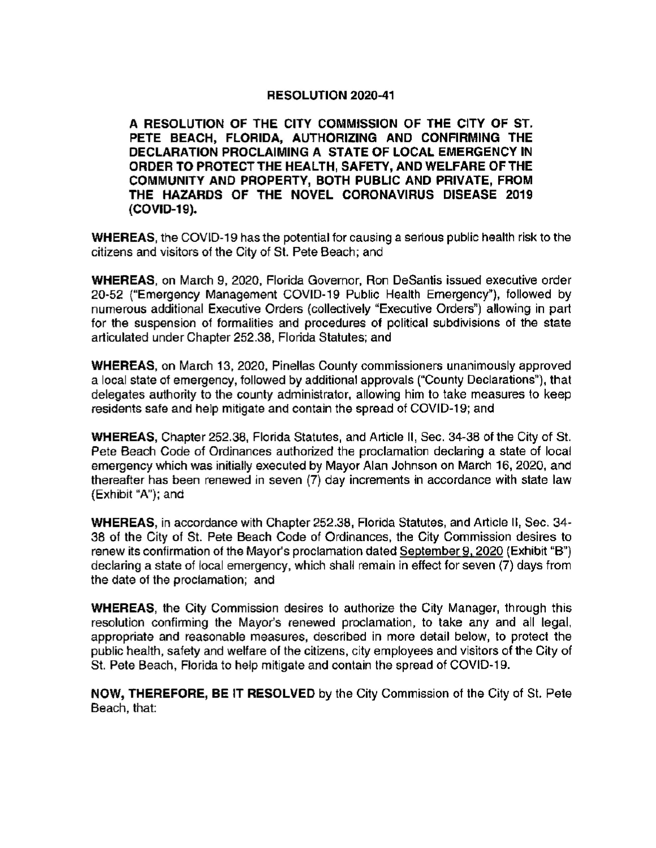## RESOLUTION 2020-41

A RESOLUTION OF THE CITY COMMISSION OF THE CITY OF ST. PETE BEACH, FLORIDA, AUTHORIZING AND CONFIRMING THE DECLARATION PROCLAIMING A STATE OF LOCAL EMERGENCY IN ORDER TO PROTECT THE HEALTH, SAFETY, AND WELFARE DF THE COMMUNITY AND PROPERTY, BOTH PUBLIC AND PRIVATE, FROM THE HAZARDS OF THE NOVEL CORONAVIRUS DISEASE 2019 COVID- 19).

WHEREAS, the COVID-19 has the potential for causing a serious public health risk to the citizens and visitors of the City of St. Pete Beach; and

WHEREAS, on March 9, 2024, Florida Governor, Ron DeSantis issued executive order 20-52 ("Emergency Management COVID-19 Public Health Emergency"), followed by numerous additional Executive Orders (collectively "Executive Orders") allowing in part for the suspension of formalities and procedures of political subdivisions of the state articulated under Chapter 252. 38, Florida Statutes; and

WHEREAS, on March 13, 2020, Pinellas County commissioners unanimously approved a local state of emergency, followed by additional approvals (" County Declarations"), that delegates authority to the county administrator, allowing him to take measures to keep residents safe and help mitigate and contain the spread of COVID-19; and

WHEREAS, Chapter 252.38, Florida Statutes, and Article II, Sec. 34-38 of the City of St. Pete Beach Code of Ordinances authorized the proclamation declaring a state of local emergency which was initially executed by Mayor Alan Johnson on March 15, 2020, and thereafter has been renewed in seven (7) day increments in accordance with state law (Exhibit "A"); and

WHEREAS, in accordance with Chapter 252.38, Florida Statutes, and Article 11, Sec. 34- 38 of the City of St. Pete Beach Code of Ordinances, the City Commission desires to renew its confirmation of the Mayor's proclamation dated September 9, 2020 (Exhibit "B") declaring a state of local emergency, which shall remain in effect for seven (7) days from the date of the proclamation; and

WHEREAS, the City Commission desires to authorize the City Manager, through this resolution confirming the Mayor's renewed proclamation, to take any and all legal, appropriate and reasonable measures, described in more detail below, to protect the public health, safety and welfare of the citizens, city employees and visitors of the City of St. Pete Beach, Florida to help mitigate and contain the spread of COVID- 19.

NOW, THEREFORE, BE IT RESOLVED by the City Commission of the City of St. Pete Beach, that: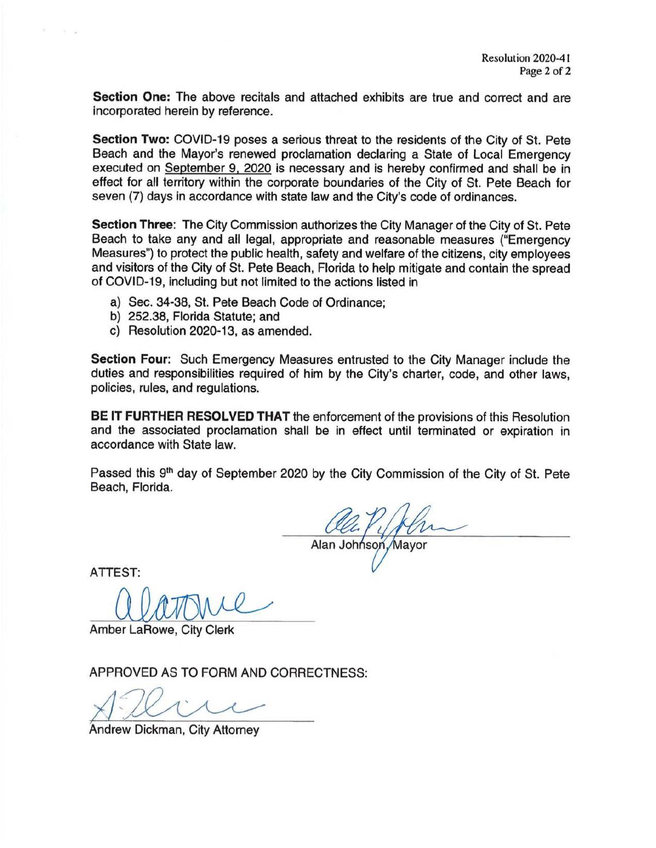Section One: The above recitals and attached exhibits are true and correct and are incorporated herein by reference.

Section Two: COVID-19 poses a serious threat to the residents of the City of St. Pete Beach and the Mayor's renewed proclamation declaring a State of Local Emergency executed on September 9, 2020 is necessary and is hereby confirmed and shall be in effect for all territory within the corporate boundaries of the City of St. Pete Beach for seven (7) days in accordance with state law and the City's code of ordinances.

Section Three: The City Commission authorizes the City Manager of the City of St. Pete Beach to take any and all legal, appropriate and reasonable measures ("Emergency Measures") to protect the public health, safety and welfare of the citizens, city employees and visitors of the City of St. Pete Beach, Florida to help mitigate and contain the spread of COVID-19, including but not limited to the actions listed in

- a) Sec. 34-38, St. Pete Beach Code of Ordinance;
- bj 252.38, Florida Statute; and
- c) Resolution 2020-13, as amended.

Section Four: Such Emergency Measures entrusted to the City Manager include the duties and responsibilities required of him by the City's charter, code, and other laws, policies, rules, and regulations.

BE IT FURTHER RESOLVED THAT the enforcement of the provisions of this Resolution and the associated proclamation shall be in effect until terminated or expiration in accordance with State law.

Passed this 9<sup>th</sup> day of September 2020 by the City Commission of the City of St. Pete Beach, Florida.

Alan Johnson, Mayor

ATTEST:

Amber LaRowe, City Clerk

APPROVED AS TO FORM AND CORRECTNESS:

r

Andrew Dickman, City Attorney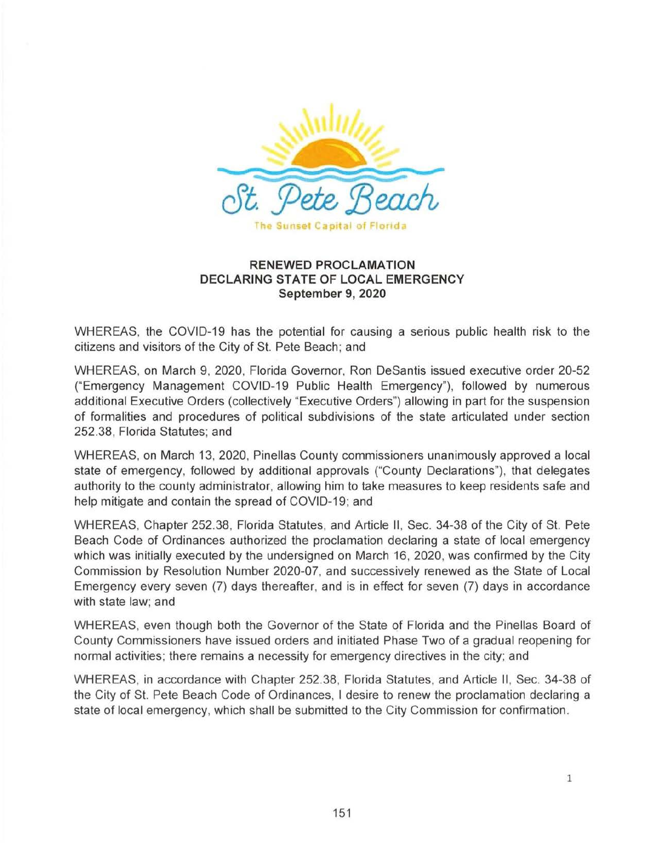

## RENEWED PROCLAMATION DECLARING STATE OF LOCAL EMERGENCY September 9, 2020

WHEREAS, the COVID-19 has the potential for causing a serious public health risk to the citizens and visitors of the City of St. Pete Beach; and

WHEREAS, on March 9, 2020, Florida Governor, Ron DeSantis issued executive order 20-52 Emergency Management COVID- 19 Public Health Emergency"), followed by numerous additional Executive Orders (collectively "Executive Orders") allowing in part for the suspension of formalities and procedures of political subdivisions of the state articulated under section 252. 38, Florida Statutes; and

WHEREAS, on March 13, 2020, Pinellas County commissioners unanimously approved a local state of emergency, followed by additional approvals (" County Declarations"), that delegates authority to the county administrator, allowing him to take measures to keep residents safe and help mitigate and contain the spread of COVID-19; and

WHEREAS, Chapter 252.38, Florida Statutes, and Article II, Sec. 34-38 of the City of St. Pete Beach Code of Ordinances authorized the proclamation declaring a state of local emergency which was initially executed by the undersigned on March 15, 2020, was confirmed by the City Commission by Resolution Number 2020-07, and successively renewed as the State of Local Emergency every seven (7) days thereafter, and is in effect for seven (7) days in accordance with state law; and

WHEREAS, even though both the Governor of the State of Florida and the Pinellas Board of County Commissioners have issued orders and initiated Phase Two of a gradual reopening for normal activities; there remains a necessity for emergency directives in the city; and

WHEREAS, in accordance with Chapter 252.38, Florida Statutes, and Article II, Sec. 34-38 of the City of St. Pete Beach Code of Ordinances, l desire to renew the proclamation declaring a state of local emergency, which shall be submitted to the City Commission for confirmation.